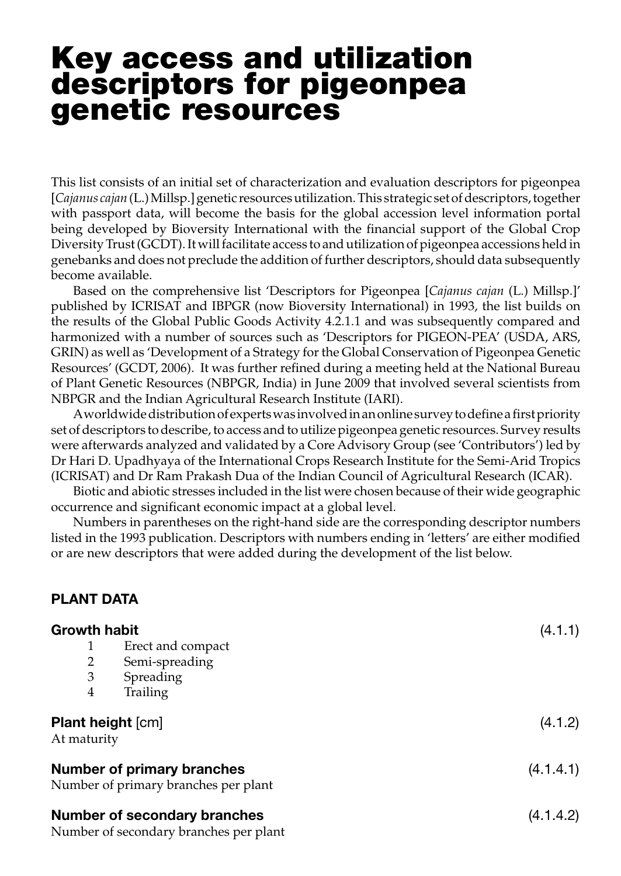# Key access and utilization descriptors for pigeonpea genetic resources

This list consists of an initial set of characterization and evaluation descriptors for pigeonpea [*Cajanus cajan* (L.) Millsp.] genetic resources utilization. This strategic set of descriptors, together with passport data, will become the basis for the global accession level information portal being developed by Bioversity International with the financial support of the Global Crop Diversity Trust (GCDT). It will facilitate access to and utilization of pigeonpea accessions held in genebanks and does not preclude the addition of further descriptors, should data subsequently become available.

Based on the comprehensive list 'Descriptors for Pigeonpea [*Cajanus cajan* (L.) Millsp.]' published by ICRISAT and IBPGR (now Bioversity International) in 1993, the list builds on the results of the Global Public Goods Activity 4.2.1.1 and was subsequently compared and harmonized with a number of sources such as 'Descriptors for PIGEON-PEA' (USDA, ARS, GRIN) as well as 'Development of a Strategy for the Global Conservation of Pigeonpea Genetic Resources' (GCDT, 2006). It was further refined during a meeting held at the National Bureau of Plant Genetic Resources (NBPGR, India) in June 2009 that involved several scientists from NBPGR and the Indian Agricultural Research Institute (IARI).

A worldwide distribution of experts was involved in an online survey to define a first priority set of descriptors to describe, to access and to utilize pigeonpea genetic resources. Survey results were afterwards analyzed and validated by a Core Advisory Group (see 'Contributors') led by Dr Hari D. Upadhyaya of the International Crops Research Institute for the Semi-Arid Tropics (ICRISAT) and Dr Ram Prakash Dua of the Indian Council of Agricultural Research (ICAR).

Biotic and abiotic stresses included in the list were chosen because of their wide geographic occurrence and significant economic impact at a global level.

Numbers in parentheses on the right-hand side are the corresponding descriptor numbers listed in the 1993 publication. Descriptors with numbers ending in 'letters' are either modified or are new descriptors that were added during the development of the list below.

#### PLANT DATA

| <b>Growth habit</b>                                                           |                   | (4.1.1)   |
|-------------------------------------------------------------------------------|-------------------|-----------|
|                                                                               | Erect and compact |           |
| 2                                                                             | Semi-spreading    |           |
| 3                                                                             | Spreading         |           |
| 4                                                                             | <b>Trailing</b>   |           |
| <b>Plant height [cm]</b><br>At maturity                                       |                   | (4.1.2)   |
| <b>Number of primary branches</b><br>Number of primary branches per plant     |                   | (4.1.4.1) |
| <b>Number of secondary branches</b><br>Number of secondary branches per plant |                   | (4.1.4.2) |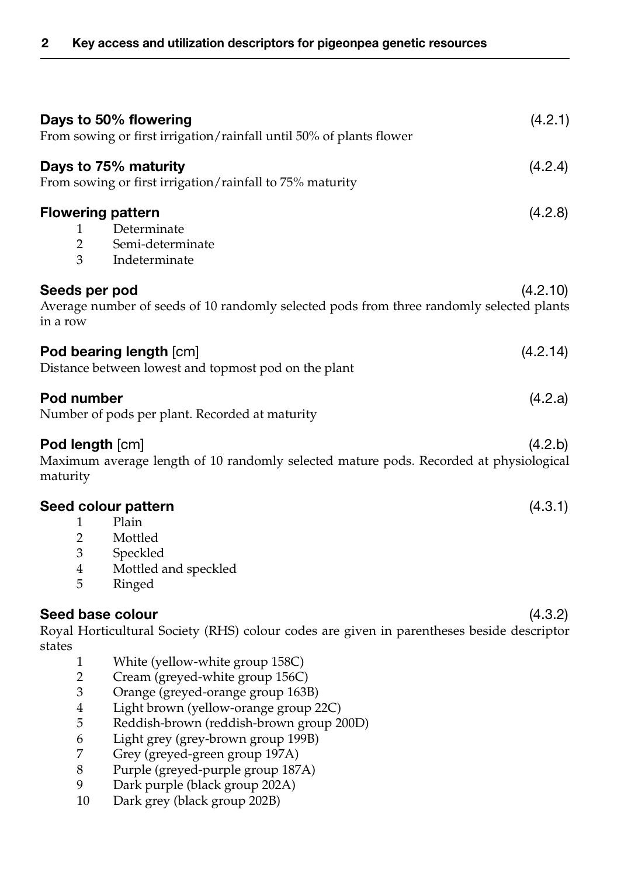|                          | Days to 50% flowering<br>From sowing or first irrigation/rainfall until 50% of plants flower                    | (4.2.1)  |
|--------------------------|-----------------------------------------------------------------------------------------------------------------|----------|
|                          | Days to 75% maturity<br>From sowing or first irrigation/rainfall to 75% maturity                                | (4.2.4)  |
| 1<br>$\overline{2}$<br>3 | <b>Flowering pattern</b><br>Determinate<br>Semi-determinate<br>Indeterminate                                    | (4.2.8)  |
| in a row                 | Seeds per pod<br>Average number of seeds of 10 randomly selected pods from three randomly selected plants       | (4.2.10) |
|                          | Pod bearing length [cm]<br>Distance between lowest and topmost pod on the plant                                 | (4.2.14) |
|                          | Pod number<br>Number of pods per plant. Recorded at maturity                                                    | (4.2.a)  |
| maturity                 | <b>Pod length [cm]</b><br>Maximum average length of 10 randomly selected mature pods. Recorded at physiological | (4.2.b)  |
|                          | Seed colour pattern                                                                                             | (4.3.1)  |
| $\mathbf{1}$             | Plain                                                                                                           |          |
| $\overline{2}$           | Mottled                                                                                                         |          |
| 3                        | Speckled                                                                                                        |          |
| 4                        | Mottled and speckled                                                                                            |          |
| 5                        | Ringed                                                                                                          |          |
|                          | Seed base colour                                                                                                | (4.3.2)  |
|                          | Royal Horticultural Society (RHS) colour codes are given in parentheses beside descriptor                       |          |
| states                   |                                                                                                                 |          |
| 1                        | White (yellow-white group 158C)                                                                                 |          |
| $\overline{2}$           | Cream (greyed-white group 156C)                                                                                 |          |
| 3                        | Orange (greyed-orange group 163B)                                                                               |          |
| $\bf 4$                  | Light brown (yellow-orange group 22C)                                                                           |          |
| 5                        | Reddish-brown (reddish-brown group 200D)                                                                        |          |
| 6                        | Light grey (grey-brown group 199B)                                                                              |          |
| 7                        | Grey (greyed-green group 197A)                                                                                  |          |
| 8                        | Purple (greyed-purple group 187A)                                                                               |          |

- 9 Dark purple (black group 202A)
- 10 Dark grey (black group 202B)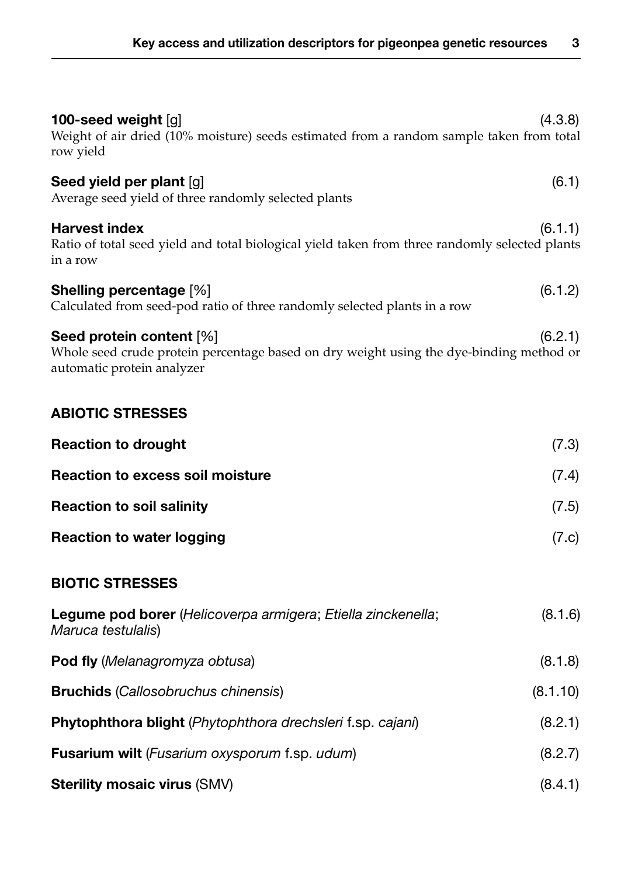| 100-seed weight $[g]$<br>Weight of air dried (10% moisture) seeds estimated from a random sample taken from total<br>row yield                               | (4.3.8)  |  |
|--------------------------------------------------------------------------------------------------------------------------------------------------------------|----------|--|
| Seed yield per plant [g]<br>Average seed yield of three randomly selected plants                                                                             | (6.1)    |  |
| <b>Harvest index</b><br>Ratio of total seed yield and total biological yield taken from three randomly selected plants<br>in a row                           | (6.1.1)  |  |
| <b>Shelling percentage [%]</b><br>Calculated from seed-pod ratio of three randomly selected plants in a row                                                  | (6.1.2)  |  |
| Seed protein content [%]<br>(6.2.1)<br>Whole seed crude protein percentage based on dry weight using the dye-binding method or<br>automatic protein analyzer |          |  |
| <b>ABIOTIC STRESSES</b>                                                                                                                                      |          |  |
| <b>Reaction to drought</b>                                                                                                                                   | (7.3)    |  |
| <b>Reaction to excess soil moisture</b>                                                                                                                      | (7.4)    |  |
| <b>Reaction to soil salinity</b>                                                                                                                             | (7.5)    |  |
| <b>Reaction to water logging</b>                                                                                                                             | (7.c)    |  |
| <b>BIOTIC STRESSES</b>                                                                                                                                       |          |  |
| Legume pod borer (Helicoverpa armigera; Etiella zinckenella;<br>Maruca testulalis)                                                                           | (8.1.6)  |  |
| <b>Pod fly</b> (Melanagromyza obtusa)                                                                                                                        | (8.1.8)  |  |
| <b>Bruchids</b> (Callosobruchus chinensis)                                                                                                                   | (8.1.10) |  |
| Phytophthora blight (Phytophthora drechsleri f.sp. cajani)                                                                                                   | (8.2.1)  |  |
| Fusarium wilt (Fusarium oxysporum f.sp. udum)                                                                                                                | (8.2.7)  |  |
| Sterility mosaic virus (SMV)                                                                                                                                 | (8.4.1)  |  |